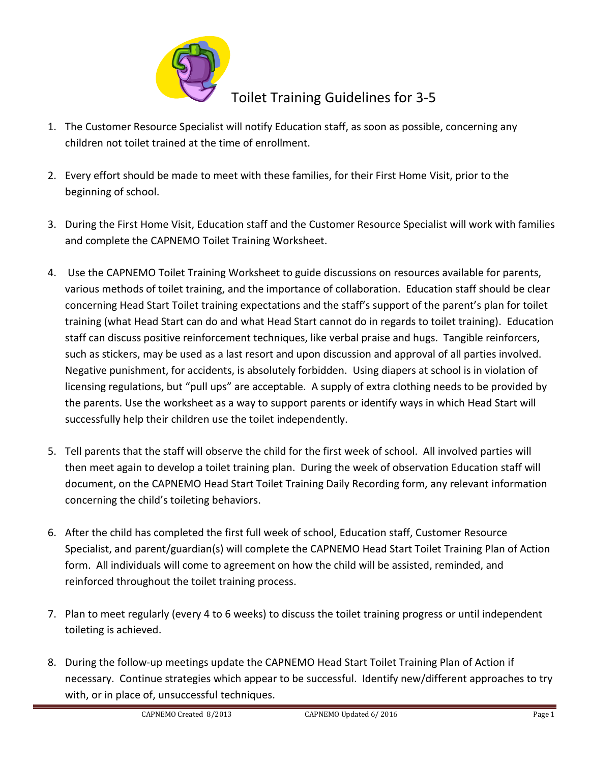

## Toilet Training Guidelines for 3-5

- 1. The Customer Resource Specialist will notify Education staff, as soon as possible, concerning any children not toilet trained at the time of enrollment.
- 2. Every effort should be made to meet with these families, for their First Home Visit, prior to the beginning of school.
- 3. During the First Home Visit, Education staff and the Customer Resource Specialist will work with families and complete the CAPNEMO Toilet Training Worksheet.
- 4. Use the CAPNEMO Toilet Training Worksheet to guide discussions on resources available for parents, various methods of toilet training, and the importance of collaboration. Education staff should be clear concerning Head Start Toilet training expectations and the staff's support of the parent's plan for toilet training (what Head Start can do and what Head Start cannot do in regards to toilet training). Education staff can discuss positive reinforcement techniques, like verbal praise and hugs. Tangible reinforcers, such as stickers, may be used as a last resort and upon discussion and approval of all parties involved. Negative punishment, for accidents, is absolutely forbidden. Using diapers at school is in violation of licensing regulations, but "pull ups" are acceptable. A supply of extra clothing needs to be provided by the parents. Use the worksheet as a way to support parents or identify ways in which Head Start will successfully help their children use the toilet independently.
- 5. Tell parents that the staff will observe the child for the first week of school. All involved parties will then meet again to develop a toilet training plan. During the week of observation Education staff will document, on the CAPNEMO Head Start Toilet Training Daily Recording form, any relevant information concerning the child's toileting behaviors.
- 6. After the child has completed the first full week of school, Education staff, Customer Resource Specialist, and parent/guardian(s) will complete the CAPNEMO Head Start Toilet Training Plan of Action form. All individuals will come to agreement on how the child will be assisted, reminded, and reinforced throughout the toilet training process.
- 7. Plan to meet regularly (every 4 to 6 weeks) to discuss the toilet training progress or until independent toileting is achieved.
- 8. During the follow-up meetings update the CAPNEMO Head Start Toilet Training Plan of Action if necessary. Continue strategies which appear to be successful. Identify new/different approaches to try with, or in place of, unsuccessful techniques.